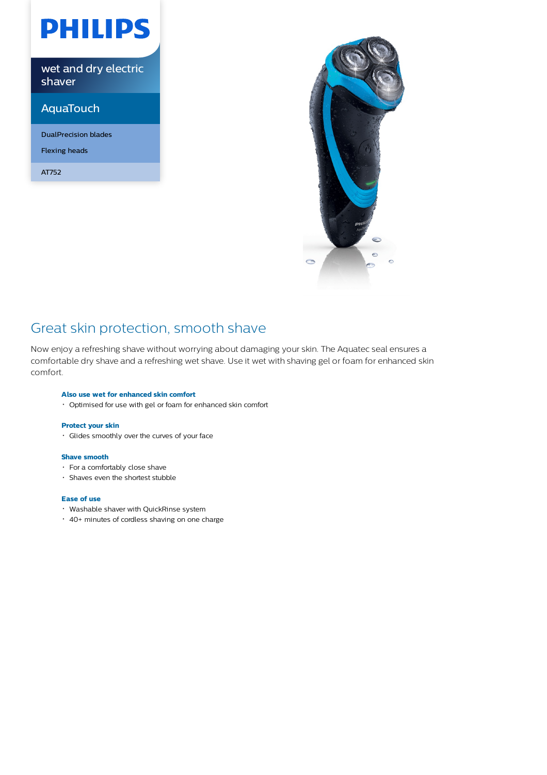# **PHILIPS**

wet and dry electric shaver

## AquaTouch

DualPrecision blades

Flexing heads

AT752



## Great skin protection, smooth shave

Now enjoy a refreshing shave without worrying about damaging your skin. The Aquatec seal ensures a comfortable dry shave and a refreshing wet shave. Use it wet with shaving gel or foam for enhanced skin comfort.

### **Also use wet for enhanced skin comfort**

Optimised for use with gel or foam for enhanced skin comfort

### **Protect your skin**

Glides smoothly over the curves of your face

#### **Shave smooth**

- For a comfortably close shave
- Shaves even the shortest stubble

### **Ease of use**

- Washable shaver with QuickRinse system
- 40+ minutes of cordless shaving on one charge